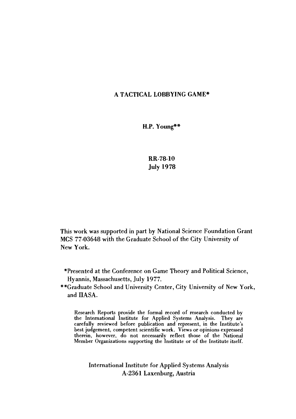## A TACTICAL LOBBYING GAME\*

H.P. Young\*\*

RR-78-10 July 1978

This work was supported in part by National Science Foundation Grant MCS 77-03648 with the Graduate School of the City University of New York.

"Presented at the Conference on Game Theory and Political Science, Hyannis, Massachusetts, July 1977.

\*\*Graduate School and University Center, City University of New York, and IIASA.

Research Reports provide the formal record of research conducted by the International Institute for Applied Systems Analysis. They are carefully reviewed before publication and represent, in the Institute's best judgement, competent scientific work. Views or opinions expressed therein, however, do not necessarily reflect those of the National Member Organizations supporting the Institute or of the Institute itself.

International Institute for Applied Systems Analysis A-2361 Laxenburg, Austria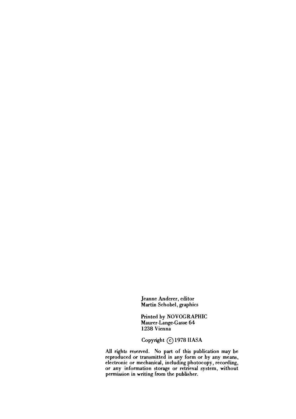Jeanne Anderer, editor Martin Schobel, graphics

Printed by NOVOGRAPHIC Maurer-Lange-Gasse 64 1238 Vienna

Copyright © 1978 IIASA

All rights reserved. No part of this publication may be reproduced or transmitted in any form or by any means, electronic or mechanical, including photocopy, recording, or any information storage or retrieval system, without permission in writing from the publisher.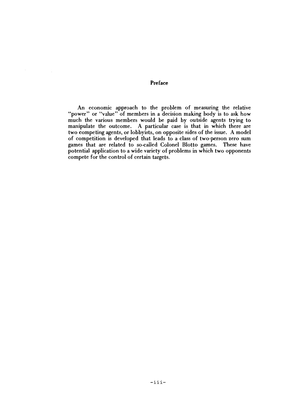Preface

An economic approach to the problem of measuring the relative "power" or "value" of members in a decision making body is to ask how much the various members would be paid by outside agents trying to manipulate the outcome. A particular case is that in which there are two competing agents, or lobbyists, on opposite sides of the issue. A model of competition is developed that leads to a class of two-person zero sum games that are related to so-called Colonel Blotto games. These have potential application to a wide variety of problems in which two opponents compete for the control of certain targets.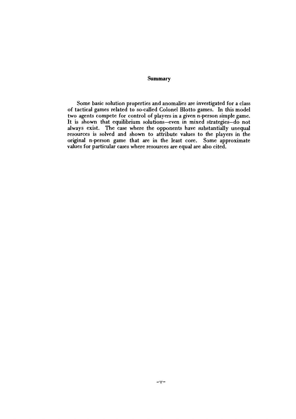#### **Summary**

Some basic solution properties and anomalies are investigated for a class of tactical games related to so-called Colonel Blotto games. In this model two agents compete for control of players in a given n-person simple game. It is shown that equilibrium solutions-even in mixed strategies-do not always exist. The case where the opponents have substantially unequal resources is solved and shown to attribute values to the players in the original n-person game that are in the least core. Some approximate values for particular cases where resources are equal are also cited.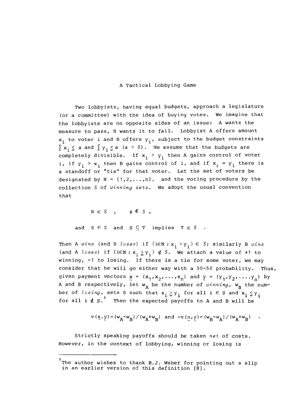### A Tactical Lobbying Game

Two lobbyists, having equal budgets, approach a legislature (or a committee) with the idea of buying votes. We imagine that the lobbyists are on opposite sides of an issue: A wants the measure to pass, B wants it to fail. Lobbyist A offers amount  $x_i$  to voter i and B offers  $y_i$ , subject to the budget constraints  $\sum x_i \leq a$  and  $\sum y_i \leq a$  (a > 0). We assume that the budgets are completely divisible. If  $x_i > y_i$  then A gains control of voter i, if  $y_i > x_i$ , then B gains control of i, and if  $x_i = y_i$ , there is a standoff or "tie" for that voter. Let the set of voters be designated by  $N = \{1, 2, ..., n\}$ , and the voting procedure by the collection S of winning sets. We adopt the usual convention that

 $N \in S$ ,  $\phi \notin S$ ,

and  $S \in S$  and  $S \subseteq T$  implies  $T \in S$  .

Then A wins (and B loses) if  $\{i \in N : x_i > y_i\} \in S$ ; similarly B wins (and A loses) if  $\{i \in N : x_i \geq y_i\} \notin S$ . We attach a value of +1 to winning, -1 to losing. If there is a tie for some voter, we may consider that he will go either way with a 50-50 probability. Thus, given payment vectors  $x = (x_1, x_2, \ldots, x_n)$  and  $y = (y_1, y_2, \ldots, y_n)$  by A and B respectively, let  $w_A$  be the number of winning,  $w_B$  the number of losing, sets S such that  $x_i \geq y_i$  for all i  $\in$  S and  $x_i \leq y_i$ for all  $i \notin s$ .<sup>†</sup> Then the expected payoffs to A and B will be

$$
v(x,y) = (w_A - w_B) / (w_A + w_B) \text{ and } -v(x,y) = (w_B - w_A) / (w_A + w_B) \quad .
$$

Strictly speaking payoffs should be taken net of costs. However, in the context of lobbying, winning or losing is

<sup>&</sup>lt;sup>†</sup>The author wishes to thank R.J. Weber for pointing out a slip in an earlier version of this definition  $\left[\stackrel{.}{8}\right]$ .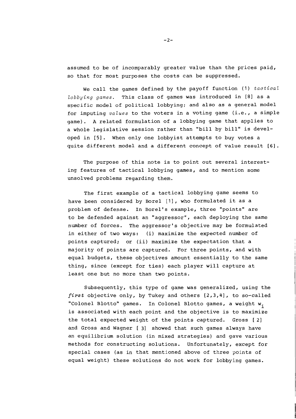assumed to be of incomparably greater value than the prices paid, so that for most purposes the costs can be suppressed.

We call the games defined by the payoff function (1) *tactical lobbying games.* This class of games was introduced in [El as a specific model of political lobbying; and also as a general model for imputing *values* to the voters in a voting game (i.e., a simple game) . **A** related formulation of a lobbying game that applies to a whole legislative session rather than "bill by bill" is developed in [51. When only one lobbyist attempts to buy votes a quite different model and a different concept of value result [6].

The purpose of this note is to point out several interesting features of tactical lobbying games, and to mention some unsolved problems regarding them.

The first example of a tactical lobbying game seems to have been considered by Bore1 [I], who formulated it as a problem of defense. In Borel's example, three "points" are to be defended against an "aggressor", each deploying the same number of forces. The aggressor's objective may be formulated in either of two ways: (i) maximize the expected number of points captured; or (ii) maximize the expectation that a majority of points are captured. For three points, and with equal budgets, these objectives amount essentially to the same thing, since (except for ties) each player will capture at least one but no more than two points.

Subsequently, this type of game was generalized, using the **first** objective only, by Tukey and others [2,3,4], to so-called "Colonel Blotto" games. In Colonel Blotto games, a weight  $w_i$ is associated with each point and the objective is to maximize the total expected weight of the points captured. Gross [2] and Gross and Wagner [ 31 showed that such games always have an equilibrium solution (in mixed strategies) and gave various methods for constructing solutions. Unfortunately, except for special cases (as in that mentioned above of three points of equal weight) these solutions do not work for lobbying games.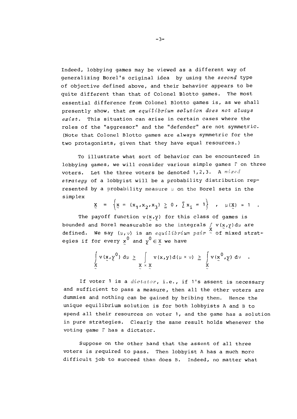Indeed, lobbying games may be viewed as a different way of generalizing Borel's original idea by using the *second* type of objective defined above, and their behavior appears to be quite different than that of Colonel Blotto games. The most essential difference from Colonel Blotto games is, as we shall presently show, that *an equilibrium solution does not always exist.* This situation can arise in certain cases where the roles of the "aggressor" and the "defender" are not symmetric. (Note that Colonel Blotto games are always symmetric for the two protagonists, given that they have equal resources.)

To illustrate what sort of behavior can be encountered in lobbying games, we will consider various simple games  $\Gamma$  on three voters. Let the three voters be denoted 1,2,3. A *mixed strategy* of a lobbyist will be a probability distribution represented by a probability measure  $\mu$  on the Borel sets in the simplex

$$
\underline{x} = \left\{ x = (x_1, x_2, x_3) \ge 0, \sum x_i = 1 \right\}, \mu(\underline{x}) = 1
$$

The payoff function  $v(x,y)$  for this class of games is bounded and Borel measurable so the integrals f v(x,y)dµ are<br>defined. We say (µ,v) is an *equilibrium pair* ~ of mixed strategies if for every  $x^0$  and  $y^0 \in X$  we have

$$
\int_{\mathbf{X}} v(\mathbf{x}, \mathbf{y}^{0}) d\mu \geq \int_{\mathbf{X} \times \mathbf{X}} v(\mathbf{x}, \mathbf{y}) d(\mu \times \nu) \geq \int_{\mathbf{X}} v(\mathbf{x}^{0}, \mathbf{y}) d\nu
$$

If voter 1 is a *dictator*, i.e., if 1's assent is necessary and sufficient to pass a measure, then all the other voters are dummies and nothing can be gained by bribing them. Hence the unique equilibrium solution is for both lobbyists A and B to spend all their resources on voter 1, and the game has a solution in pure strategies. Clearly the same result holds whenever the voting game  $\Gamma$  has a dictator.

Suppose on the other hand that the assent of all three voters is required to pass. Then lobbyist A has a much more difficult job to succeed than does B. Indeed, no matter what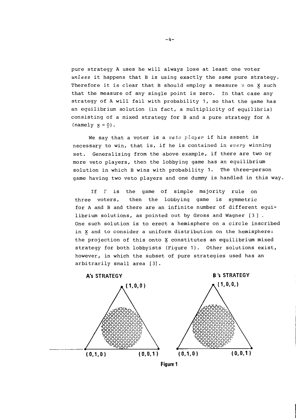pure strategy **A** uses he will always lose at least one voter *unless* it happens that B is using exactly the *same* pure strategy. Therefore it is clear that B should employ a measure  $\vee$  on X such that the measure of any single point is zero. In that case any strategy of **A** will fail with probability 1, so that the game has an equilibrium solution (in fact, a multiplicity of equilibria) consisting of a mixed strategy for B and a pure strategy for **A**   $(\text{namely } x = 0)$ .

We say that a voter is a *veto player* if his assent is necessary to win, that is, if he is contained in *every* winning set. Generalizing from the above example, if there are two or more veto players, then the lobbying game has an equilibrium solution in which B wins with probability 1. The three-person game having two veto players and one dummy is handled in this way.

If I is the game of simple majority rule on three voters, then the lobbying game is symmetric for **A** and B and there are an infinite number of different equilibrium solutions, as pointed out by Gross and Wagner [3] . One such solution is to erect a hemisphere on a circle inscribed in **5** and to consider a uniform distribution on the hemisphere: the projection of this onto **5** constitutes an equilibrium mixed strategy for both lobbyists (Figure 1). Other solutions exist, however, in which the subset of pure strategies used has an arbitrarily small area [3].

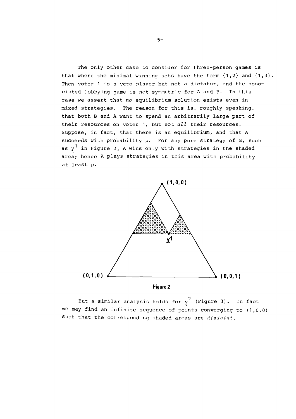The only other case to consider for three-person games is that where the minimal winning sets have the form  $\{1,2\}$  and  $\{1,3\}$ . Then voter 1 is a veto player but not a dictator, and the associated lobbying game is not symmetric for A and B. In this case we assert that no equilibrium solution exists even in mixed strategies. The reason for this is, roughly speaking, that both B and **A** want to spend an arbitrarily large part of their resources on voter 1, but not  $all$  their resources. Suppose, in fact, that there is an equilibrium, and that **<sup>A</sup>** succeeds with probability p. For any pure strategy of B, such as y<sup>1</sup> in Figure 2, A wins only with strategies in the shaded area; hence A plays strategies in this area with probability at least p.



But a similar analysis holds for  $y^2$  (Figure 3). In fact we may find an infinite sequence of points converging to (1,0,0) such that the corresponding shaded areas are disjoint.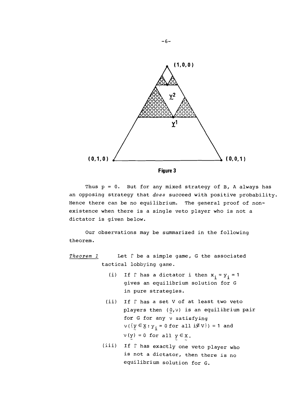

Thus p = 0. But for any mixed strategy of B, A always has an opposing strategy that *does* succeed with positive probability. Hence there can be no equilibrium. The general proof of nonexistence when there is a single veto player who is not a dictator is given below.

Our observations may be summarized in the following theorem.

# *Theorem I* Let r be a simple game, G the associated tactical lobbying game.

- (i) If  $\Gamma$  has a dictator i then  $x_i = y_i = 1$ gives an equilibrium solution for **G**  in pure strategies.
- (ii) If  $\Gamma$  has a set V of at least two veto players then (O,v) is an equilibrium pair for G for any v satisfying  $v(\lbrace \underline{y} \in \underline{y} : y_{\underline{i}} = 0 \text{ for all } \underline{i} \notin V \rbrace) = 1$  and  $v(y) = 0$  for all  $y \in X$ .
- (iii) If r has exactly one veto player who is not a dictator, then there is no equilibrium solution for G.

 $-6-$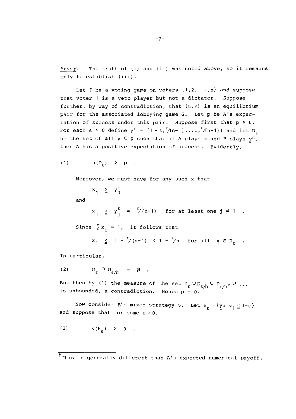**Proof:** The truth of (i) and (ii) was noted above, so it remains only to establish (iii).

Let  $\Gamma$  be a voting game on voters  $\{1, 2, \ldots, n\}$  and suppose that voter 1 is a veto player but not a dictator. Suppose further, by way of contradiction, that  $(\mu, \nu)$  is an equilibrium pair for the associated lobbying game G. Let p be A's expectation of success under this pair.<sup>†</sup> Suppose first that  $p > 0$ . For each  $\epsilon > 0$  define  $y^{\epsilon} = (1-\epsilon, \frac{\epsilon}{n-1}), \ldots, \frac{\epsilon}{n-1})$  and let D<sub>c</sub> be the set of all  $\mathbf{x} \in \mathbf{X}$  such that if A plays  $\mathbf{x}$  and B plays  $\mathbf{y}^{\varepsilon}$ , then A has a positive expectation of success. Evidently,

$$
(1) \t\t\t $\mu(D_c) \geq p$ .
$$

Moreover, we must have for any such  $x$  that

 $x_1 \geq y_1^{\epsilon}$ 

and

 $x_i \geq y_i^{\epsilon} = \frac{\epsilon}{7} (n-1)$  for at least one j  $\neq 1$ . Since  $\sum x_i = 1$ , it follows that

$$
x_{1} \leq 1 - \frac{\epsilon}{7}(n-1) \leq 1 - \frac{\epsilon}{7}n \quad \text{for all} \quad x \in D_{\epsilon}.
$$

In particular,

$$
(2) \tD_{\varepsilon} \cap D_{\varepsilon} \t= \emptyset .
$$

But then by (1) the measure of the set  $D_{\varepsilon} \cup D_{\varepsilon/h} \cup D_{\varepsilon/h^2} \cup ...$ is unbounded, a contradiction. Hence  $p = 0$ .

Now consider B's mixed strategy  $v$ . Let  $E_{\varepsilon} = \{y: y_1 \leq 1 - \varepsilon\}$  and suppose that for some  $\varepsilon > 0$ ,

$$
(3) \t\t y(E_{\varepsilon}) > 0.
$$

 $\overline{f}_{\text{This}}$  is generally different than A's expected numerical payoff.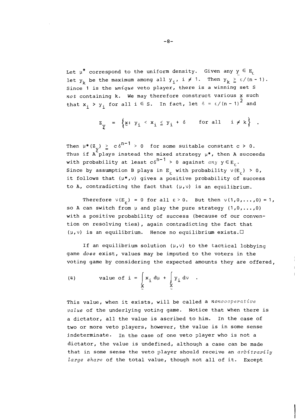Let  $\mu^*$  correspond to the uniform density. Given any  $y \in E_f$ let  $y_k$  be the maximum among all  $y_i$ , i  $\neq$  1. Then  $y_k \geq \varepsilon/(n-1)$ . Since 1 is the *unique* veto player, there is a winning set S *not* containing *k.* We may therefore construct various **5** such that  $x_i > y_i$  for all  $i \in S$ . In fact, let  $\delta = \epsilon/(n-1)^{\bar{2}}$  and

$$
z_{\underline{y}} = \left\{ \underline{x}: y_{i} \leq x_{i} \leq y_{i} + \delta \quad \text{for all } i \neq k \right\} .
$$

Then  $\mu^*(Z_{\alpha}) \geq c \delta^{n-1} > 0$  for some suitable constant  $c > 0$ . Thus if  $A^{\uparrow}$  plays instead the mixed strategy  $\mu^*$ , then  $A$  succeeds with probability at least  $c\delta^{n-1} > 0$  against  $any \, y \in E_c$ . Since by assumption B plays in E<sub>c</sub> with probability  $v(E_c) > 0$ , it follows that  $(\mu^*, v)$  gives a positive probability of success to  $A$ , contradicting the fact that  $(\mu,\nu)$  is an equilibrium.

Therefore  $\nu(E_c) = 0$  for all  $\epsilon > 0$ . But then  $\nu(1,0,\ldots,0) = 1$ , so **A** can switch from **p** and play the pure strategy (1,0,. . . ,0) with a positive probability of success (because of our convention on resolving ties), again contradicting the fact that  $(u,v)$  is an equilibrium. Hence no equilibrium exists.

If an equilibrium solution  $(\mu,\nu)$  to the tactical lobbying game *does* exist, values may be imputed to the voters in the voting game by considering the expected amounts they are offered,

(4) value of 
$$
i = \int_{X} x_i d\mu + \int_{X} y_i d\nu
$$

This value, when it exists, will be called a *noncooperative value* of the underlying voting game. Notice that when there is a dictator, all the value is ascribed to him. In the case of two or more veto players, however, the value is in some sense jndeterminate. In the case of one veto player who is not a dictator, the value is undefined, although a case can be made that in some sense the veto player should receive an *arbitrarily large share* of the total value, though not all of it. Except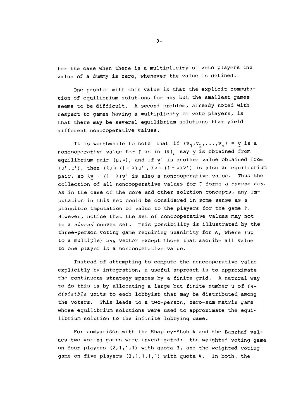for the case when there is a multiplicity of veto players the value of a dummy is zero, whenever the value is defined.

One problem with this value is that the explicit computation of equilibrium solutions for any but the smallest games seems to be difficult. **A** second problem, already noted with respect to games having a multiplicity of veto players, is that there may be several equilibrium solutions that yield different noncooperative values.

It is worthwhile to note that if  $(v_1, v_2, ..., v_n) = v$  is a noncooperative value for  $\Gamma$  as in (4), say y is obtained from equilibrium pair  $(\mu,\nu)$ , and if v' is another value obtained from  $(\mu^+, \nu^+)$ , then  $(\lambda \mu + (1 - \lambda) \mu^+, \lambda \nu + (1 - \lambda) \nu^+)$  is also an equilibrium pair, so  $\lambda y$  +  $(1 - \lambda) y'$  is also a noncooperative value. Thus the collection of all noncooperative values for  $\Gamma$  forms a *convex set*. As in the case of the core and other solution concepts, any imputation in this set could be considered in some sense as a plausible imputation of value to the players for the game T. However, notice that the set of noncooperative values may not be a *closed* convex set. This possibility is illustrated by the three-person voting game requiring unanimity for A, where (up to a multiyle) *any* vector except those that ascribe all value to one player is a noncooperative value.

Instead of attempting to compute the noncooperative value explicitly by integration, a useful approach is to approximate the continuous strategy spaces by a finite grid. A natural way to do this is by allocating a large but finite number u of *indivisible* units to each lobbyist that may be distributed among the voters. This leads to a two-person, zero-sum matrix game whose equilibrium solutions were used to approximate the equilibrium solution to the infinite lobbying game.

For comparison with the Shapley-Shubik and the Banzhaf values two voting games were investigated: the weighted voting game on four players  $(2,1,1,1)$  with quota 3, and the weighted voting game on five players  $(3,1,1,1,1)$  with quota 4. In both, the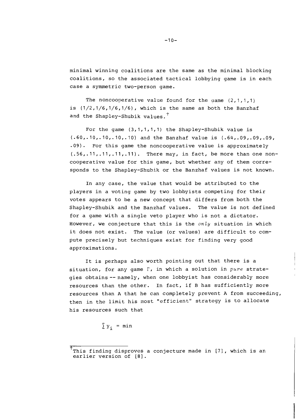minimal winning coalitions are the same as the minimal blocking coalitions, so the associated tactical lobbying game is in each case a symmetric two-person game.

The noncooperative value found for the game  $(2,1,1,1)$ is  $(1/2, 1/6, 1/6, 1/6)$ , which is the same as both the Banzhaf and the Shapley-Shubik values.<sup>†</sup>

For the game (3,1,1,1,1) the Shapley-Shubik value is (.60,.10,.10,.10,.10) and the Banzhaf value is (.64,.09,.09,.09, .09). For this game the noncooperative value is approximately  $(.56, .11, .11, .11, .11)$ . There may, in fact, be more than one noncooperative value for this game, but whether any of them corresponds to the Shapley-Shuhik or the Banzhaf values is not known.

In any case, the value that would be attributed to the players in a voting game by two lobbyists competing for their votes appears to be a new concept that differs from both the Shapley-Shubik and the Banzhaf values. The value is not defined for a game with a single veto player who is not a dictator. However, we conjecture that this is the  $only$  situation in which it does not exist. The value (or values) are difficult to compute precisely but techniques exist for finding very good approximations.

It is perhaps also worth pointing out that there is a situation, for any game  $\Gamma$ , in which a solution in pure strategies obtains --namely, when one lobbyist has considerably more resources than the other. In fact, if B has sufficiently more resources than A that he can completely prevent A from succeeding, then in the limit his most "efficient" strategy is to allocate his resources such that

$$
\sum y_i = \min
$$

 $^{\text{\tiny{\textsf{F}}}}$ This finding disproves a conjecture made in [7], which is an earlier version of **[8].**